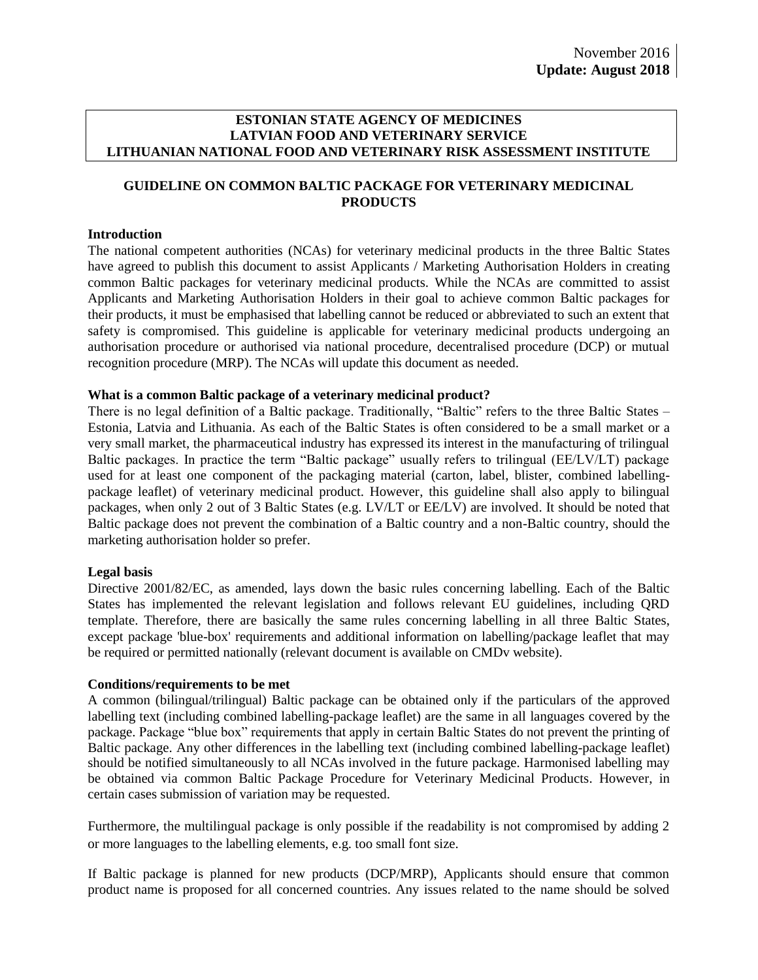#### **ESTONIAN STATE AGENCY OF MEDICINES LATVIAN FOOD AND VETERINARY SERVICE LITHUANIAN NATIONAL FOOD AND VETERINARY RISK ASSESSMENT INSTITUTE**

### **GUIDELINE ON COMMON BALTIC PACKAGE FOR VETERINARY MEDICINAL PRODUCTS**

#### **Introduction**

The national competent authorities (NCAs) for veterinary medicinal products in the three Baltic States have agreed to publish this document to assist Applicants / Marketing Authorisation Holders in creating common Baltic packages for veterinary medicinal products. While the NCAs are committed to assist Applicants and Marketing Authorisation Holders in their goal to achieve common Baltic packages for their products, it must be emphasised that labelling cannot be reduced or abbreviated to such an extent that safety is compromised. This guideline is applicable for veterinary medicinal products undergoing an authorisation procedure or authorised via national procedure, decentralised procedure (DCP) or mutual recognition procedure (MRP). The NCAs will update this document as needed.

#### **What is a common Baltic package of a veterinary medicinal product?**

There is no legal definition of a Baltic package. Traditionally, "Baltic" refers to the three Baltic States – Estonia, Latvia and Lithuania. As each of the Baltic States is often considered to be a small market or a very small market, the pharmaceutical industry has expressed its interest in the manufacturing of trilingual Baltic packages. In practice the term "Baltic package" usually refers to trilingual (EE/LV/LT) package used for at least one component of the packaging material (carton, label, blister, combined labellingpackage leaflet) of veterinary medicinal product. However, this guideline shall also apply to bilingual packages, when only 2 out of 3 Baltic States (e.g. LV/LT or EE/LV) are involved. It should be noted that Baltic package does not prevent the combination of a Baltic country and a non-Baltic country, should the marketing authorisation holder so prefer.

#### **Legal basis**

Directive 2001/82/EC, as amended, lays down the basic rules concerning labelling. Each of the Baltic States has implemented the relevant legislation and follows relevant EU guidelines, including QRD template. Therefore, there are basically the same rules concerning labelling in all three Baltic States, except package 'blue-box' requirements and additional information on labelling/package leaflet that may be required or permitted nationally (relevant document is available on CMDv website).

#### **Conditions/requirements to be met**

A common (bilingual/trilingual) Baltic package can be obtained only if the particulars of the approved labelling text (including combined labelling-package leaflet) are the same in all languages covered by the package. Package "blue box" requirements that apply in certain Baltic States do not prevent the printing of Baltic package. Any other differences in the labelling text (including combined labelling-package leaflet) should be notified simultaneously to all NCAs involved in the future package. Harmonised labelling may be obtained via common Baltic Package Procedure for Veterinary Medicinal Products. However, in certain cases submission of variation may be requested.

Furthermore, the multilingual package is only possible if the readability is not compromised by adding 2 or more languages to the labelling elements, e.g. too small font size.

If Baltic package is planned for new products (DCP/MRP), Applicants should ensure that common product name is proposed for all concerned countries. Any issues related to the name should be solved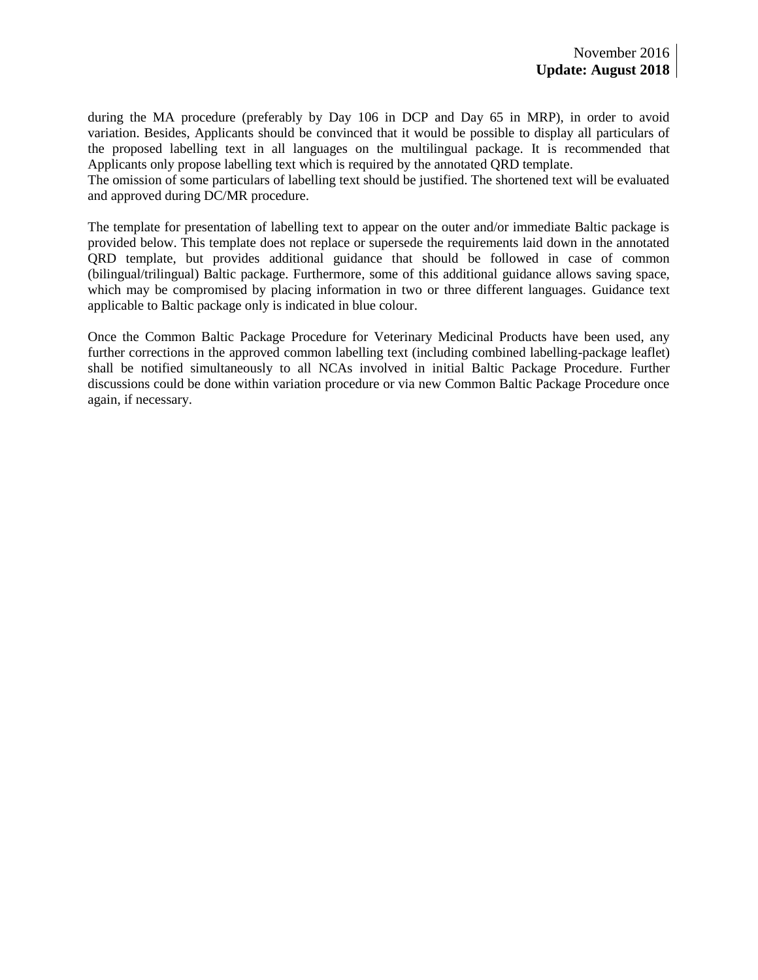during the MA procedure (preferably by Day 106 in DCP and Day 65 in MRP), in order to avoid variation. Besides, Applicants should be convinced that it would be possible to display all particulars of the proposed labelling text in all languages on the multilingual package. It is recommended that Applicants only propose labelling text which is required by the annotated QRD template.

The omission of some particulars of labelling text should be justified. The shortened text will be evaluated and approved during DC/MR procedure.

The template for presentation of labelling text to appear on the outer and/or immediate Baltic package is provided below. This template does not replace or supersede the requirements laid down in the annotated QRD template, but provides additional guidance that should be followed in case of common (bilingual/trilingual) Baltic package. Furthermore, some of this additional guidance allows saving space, which may be compromised by placing information in two or three different languages. Guidance text applicable to Baltic package only is indicated in blue colour.

Once the Common Baltic Package Procedure for Veterinary Medicinal Products have been used, any further corrections in the approved common labelling text (including combined labelling-package leaflet) shall be notified simultaneously to all NCAs involved in initial Baltic Package Procedure. Further discussions could be done within variation procedure or via new Common Baltic Package Procedure once again, if necessary.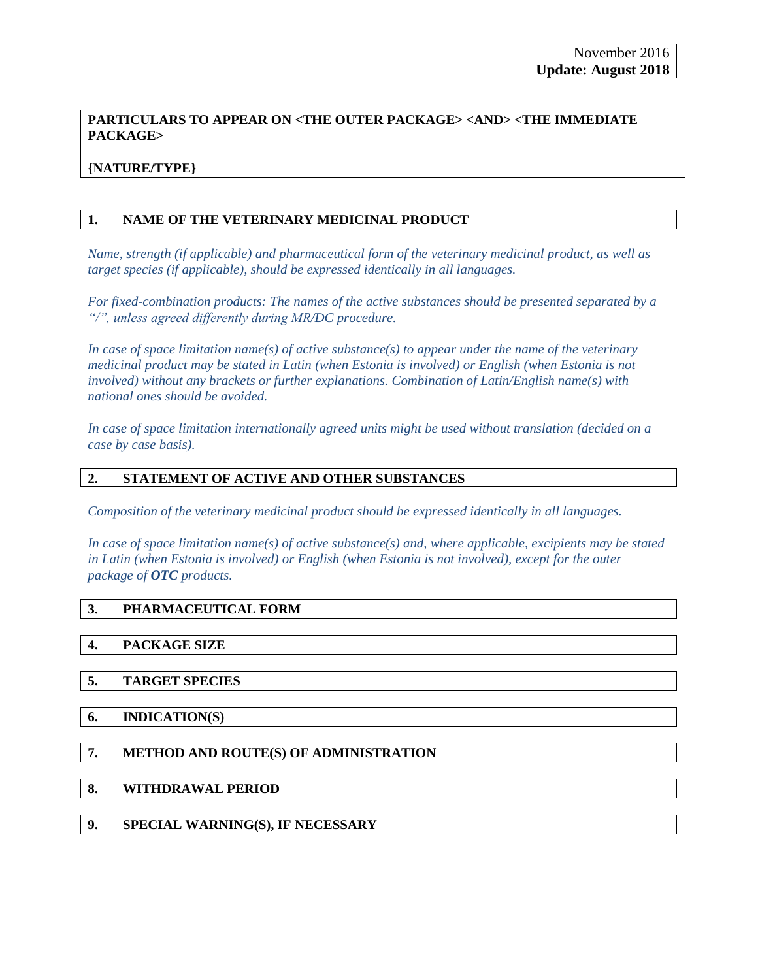## **PARTICULARS TO APPEAR ON <THE OUTER PACKAGE> <AND> <THE IMMEDIATE PACKAGE>**

# **{NATURE/TYPE}**

### **1. NAME OF THE VETERINARY MEDICINAL PRODUCT**

*Name, strength (if applicable) and pharmaceutical form of the veterinary medicinal product, as well as target species (if applicable), should be expressed identically in all languages.*

*For fixed-combination products: The names of the active substances should be presented separated by a "/", unless agreed differently during MR/DC procedure.*

*In case of space limitation name(s) of active substance(s) to appear under the name of the veterinary medicinal product may be stated in Latin (when Estonia is involved) or English (when Estonia is not involved) without any brackets or further explanations. Combination of Latin/English name(s) with national ones should be avoided.*

*In case of space limitation internationally agreed units might be used without translation (decided on a case by case basis).*

### **2. STATEMENT OF ACTIVE AND OTHER SUBSTANCES**

*Composition of the veterinary medicinal product should be expressed identically in all languages.*

*In case of space limitation name(s) of active substance(s) and, where applicable, excipients may be stated in Latin (when Estonia is involved) or English (when Estonia is not involved), except for the outer package of OTC products.*

## **3. PHARMACEUTICAL FORM**

#### **4. PACKAGE SIZE**

## **5. TARGET SPECIES**

#### **6. INDICATION(S)**

## **7. METHOD AND ROUTE(S) OF ADMINISTRATION**

### **8. WITHDRAWAL PERIOD**

**9. SPECIAL WARNING(S), IF NECESSARY**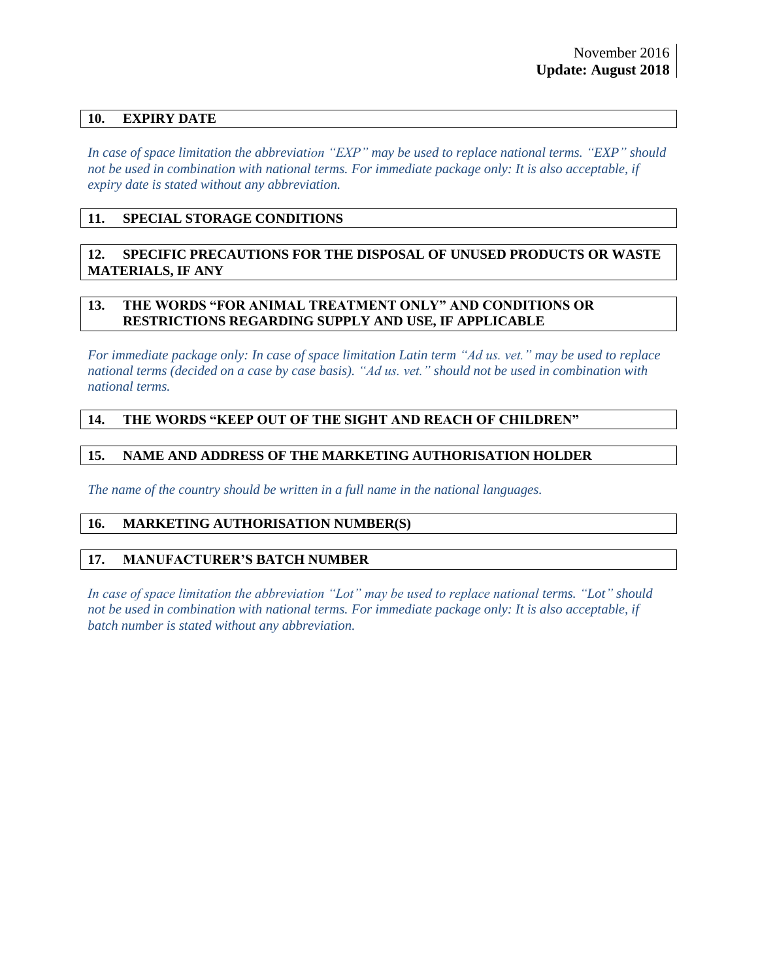### **10. EXPIRY DATE**

*In case of space limitation the abbreviation "EXP" may be used to replace national terms. "EXP" should not be used in combination with national terms. For immediate package only: It is also acceptable, if expiry date is stated without any abbreviation.*

### **11. SPECIAL STORAGE CONDITIONS**

### **12. SPECIFIC PRECAUTIONS FOR THE DISPOSAL OF UNUSED PRODUCTS OR WASTE MATERIALS, IF ANY**

#### **13. THE WORDS "FOR ANIMAL TREATMENT ONLY" AND CONDITIONS OR RESTRICTIONS REGARDING SUPPLY AND USE, IF APPLICABLE**

*For immediate package only: In case of space limitation Latin term "Ad us. vet." may be used to replace national terms (decided on a case by case basis). "Ad us. vet." should not be used in combination with national terms.*

## **14. THE WORDS "KEEP OUT OF THE SIGHT AND REACH OF CHILDREN"**

### **15. NAME AND ADDRESS OF THE MARKETING AUTHORISATION HOLDER**

*The name of the country should be written in a full name in the national languages.*

### **16. MARKETING AUTHORISATION NUMBER(S)**

#### **17. MANUFACTURER'S BATCH NUMBER**

*In case of space limitation the abbreviation "Lot" may be used to replace national terms. "Lot" should not be used in combination with national terms. For immediate package only: It is also acceptable, if batch number is stated without any abbreviation.*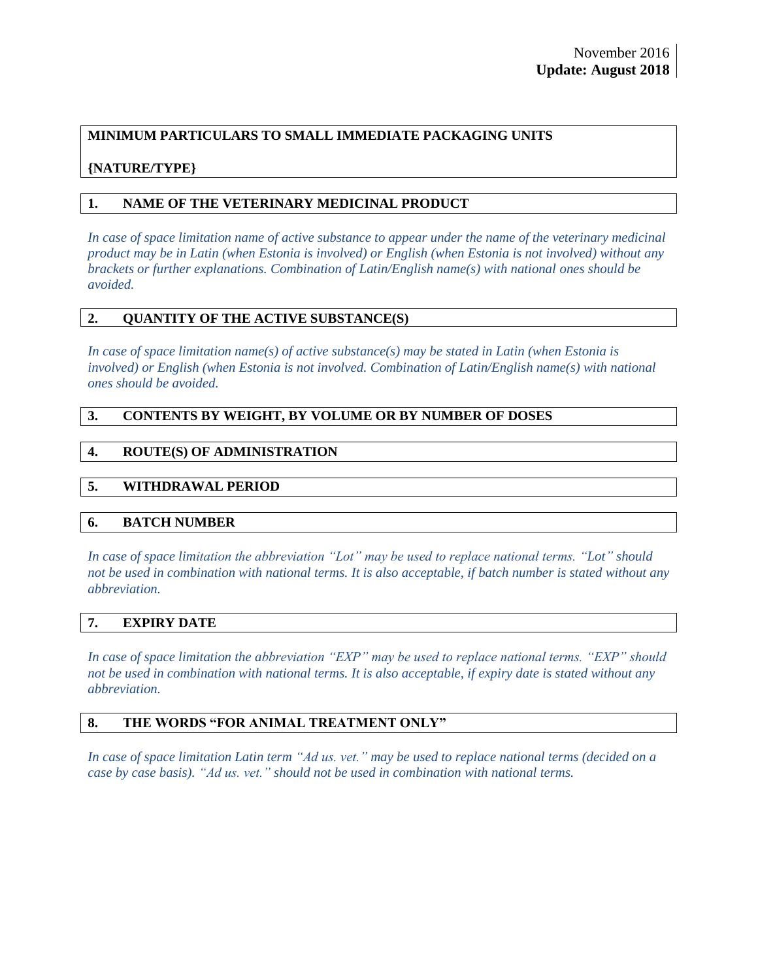# **MINIMUM PARTICULARS TO SMALL IMMEDIATE PACKAGING UNITS**

# **{NATURE/TYPE}**

# **1. NAME OF THE VETERINARY MEDICINAL PRODUCT**

*In case of space limitation name of active substance to appear under the name of the veterinary medicinal product may be in Latin (when Estonia is involved) or English (when Estonia is not involved) without any brackets or further explanations. Combination of Latin/English name(s) with national ones should be avoided.*

### **2. QUANTITY OF THE ACTIVE SUBSTANCE(S)**

*In case of space limitation name(s) of active substance(s) may be stated in Latin (when Estonia is involved) or English (when Estonia is not involved. Combination of Latin/English name(s) with national ones should be avoided.*

### **3. CONTENTS BY WEIGHT, BY VOLUME OR BY NUMBER OF DOSES**

## **4. ROUTE(S) OF ADMINISTRATION**

## **5. WITHDRAWAL PERIOD**

#### **6. BATCH NUMBER**

*In case of space limitation the abbreviation "Lot" may be used to replace national terms. "Lot" should not be used in combination with national terms. It is also acceptable, if batch number is stated without any abbreviation.*

#### **7. EXPIRY DATE**

*In case of space limitation the abbreviation "EXP" may be used to replace national terms. "EXP" should not be used in combination with national terms. It is also acceptable, if expiry date is stated without any abbreviation.*

#### **8. THE WORDS "FOR ANIMAL TREATMENT ONLY"**

*In case of space limitation Latin term "Ad us. vet." may be used to replace national terms (decided on a case by case basis). "Ad us. vet." should not be used in combination with national terms.*